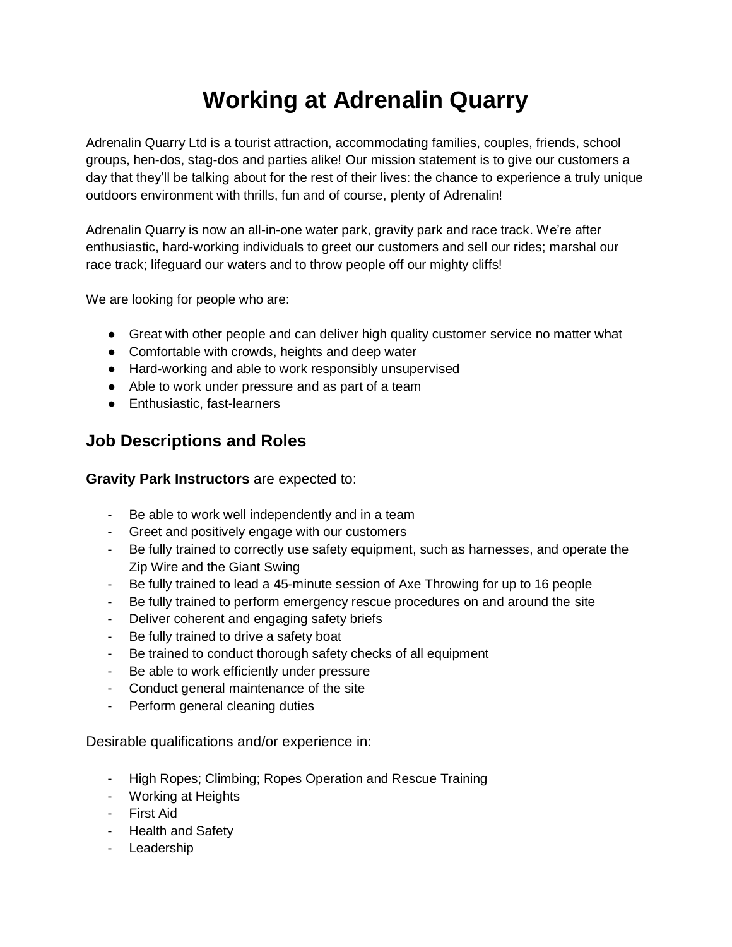# **Working at Adrenalin Quarry**

Adrenalin Quarry Ltd is a tourist attraction, accommodating families, couples, friends, school groups, hen-dos, stag-dos and parties alike! Our mission statement is to give our customers a day that they'll be talking about for the rest of their lives: the chance to experience a truly unique outdoors environment with thrills, fun and of course, plenty of Adrenalin!

Adrenalin Quarry is now an all-in-one water park, gravity park and race track. We're after enthusiastic, hard-working individuals to greet our customers and sell our rides; marshal our race track; lifeguard our waters and to throw people off our mighty cliffs!

We are looking for people who are:

- Great with other people and can deliver high quality customer service no matter what
- Comfortable with crowds, heights and deep water
- Hard-working and able to work responsibly unsupervised
- Able to work under pressure and as part of a team
- Enthusiastic, fast-learners

### **Job Descriptions and Roles**

#### **Gravity Park Instructors** are expected to:

- Be able to work well independently and in a team
- Greet and positively engage with our customers
- Be fully trained to correctly use safety equipment, such as harnesses, and operate the Zip Wire and the Giant Swing
- Be fully trained to lead a 45-minute session of Axe Throwing for up to 16 people
- Be fully trained to perform emergency rescue procedures on and around the site
- Deliver coherent and engaging safety briefs
- Be fully trained to drive a safety boat
- Be trained to conduct thorough safety checks of all equipment
- Be able to work efficiently under pressure
- Conduct general maintenance of the site
- Perform general cleaning duties

Desirable qualifications and/or experience in:

- High Ropes; Climbing; Ropes Operation and Rescue Training
- Working at Heights
- First Aid
- Health and Safety
- Leadership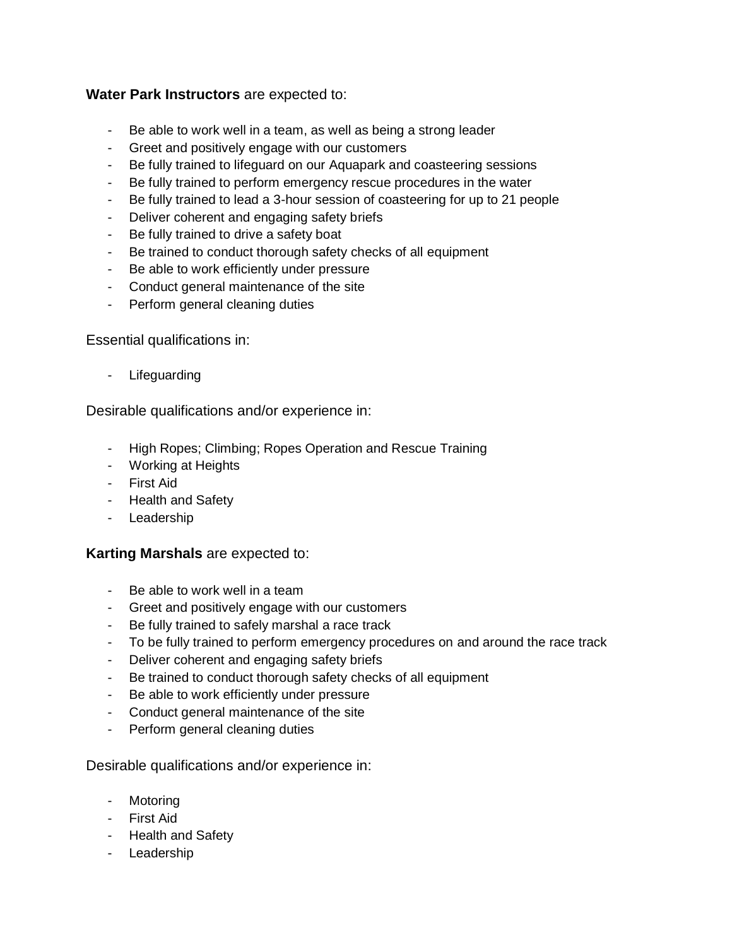#### **Water Park Instructors** are expected to:

- Be able to work well in a team, as well as being a strong leader
- Greet and positively engage with our customers
- Be fully trained to lifeguard on our Aquapark and coasteering sessions
- Be fully trained to perform emergency rescue procedures in the water
- Be fully trained to lead a 3-hour session of coasteering for up to 21 people
- Deliver coherent and engaging safety briefs
- Be fully trained to drive a safety boat
- Be trained to conduct thorough safety checks of all equipment
- Be able to work efficiently under pressure
- Conduct general maintenance of the site
- Perform general cleaning duties

Essential qualifications in:

- Lifeguarding

Desirable qualifications and/or experience in:

- High Ropes; Climbing; Ropes Operation and Rescue Training
- Working at Heights
- First Aid
- Health and Safety
- Leadership

#### **Karting Marshals** are expected to:

- Be able to work well in a team
- Greet and positively engage with our customers
- Be fully trained to safely marshal a race track
- To be fully trained to perform emergency procedures on and around the race track
- Deliver coherent and engaging safety briefs
- Be trained to conduct thorough safety checks of all equipment
- Be able to work efficiently under pressure
- Conduct general maintenance of the site
- Perform general cleaning duties

#### Desirable qualifications and/or experience in:

- Motoring
- First Aid
- Health and Safety
- Leadership